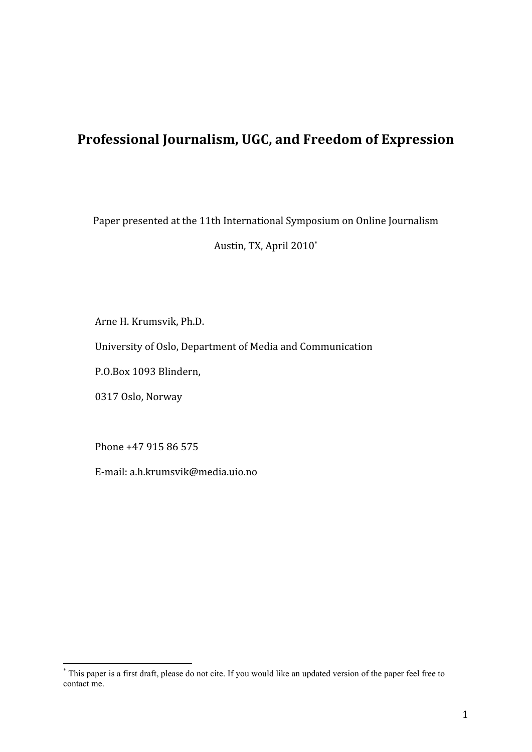# **Professional Journalism, UGC, and Freedom of Expression**

Paper presented at the 11th International Symposium on Online Journalism

Austin, TX, April 2010\*

Arne H. Krumsvik, Ph.D.

University of Oslo, Department of Media and Communication

P.O.Box 1093 Blindern,

0317 Oslo, Norway

Phone +47 915 86 575

E‐mail: a.h.krumsvik@media.uio.no

 \* This paper is a first draft, please do not cite. If you would like an updated version of the paper feel free to contact me.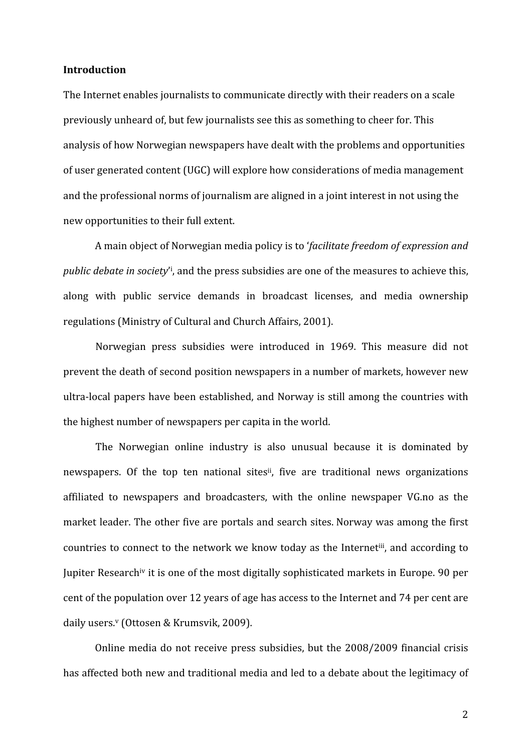#### **Introduction**

The Internet enables journalists to communicate directly with their readers on a scale previously unheard of, but few journalists see this as something to cheer for. This analysis of how Norwegian newspapers have dealt with the problems and opportunities of user generated content (UGC) will explore how considerations of media management and the professional norms of journalism are aligned in a joint interest in not using the new opportunities to their full extent.

A main object of Norwegian media policy is to '*facilitate freedom of expression and*  public debate in society<sup>'</sup>, and the press subsidies are one of the measures to achieve this, along with public service demands in broadcast licenses, and media ownership regulations (Ministry of Cultural and Church Affairs, 2001).

Norwegian press subsidies were introduced in 1969. This measure did not prevent the death of second position newspapers in a number of markets, however new ultra‐local papers have been established, and Norway is still among the countries with the highest number of newspapers per capita in the world.

The Norwegian online industry is also unusual because it is dominated by newspapers. Of the top ten national sites<sup>ii</sup>, five are traditional news organizations affiliated to newspapers and broadcasters, with the online newspaper VG.no as the market leader. The other five are portals and search sites. Norway was among the first countries to connect to the network we know today as the Internetiii, and according to Jupiter Researchiv it is one of the most digitally sophisticated markets in Europe. 90 per cent of the population over 12 years of age has access to the Internet and 74 per cent are daily users.<sup>v</sup> (Ottosen & Krumsvik, 2009).

Online media do not receive press subsidies, but the 2008/2009 financial crisis has affected both new and traditional media and led to a debate about the legitimacy of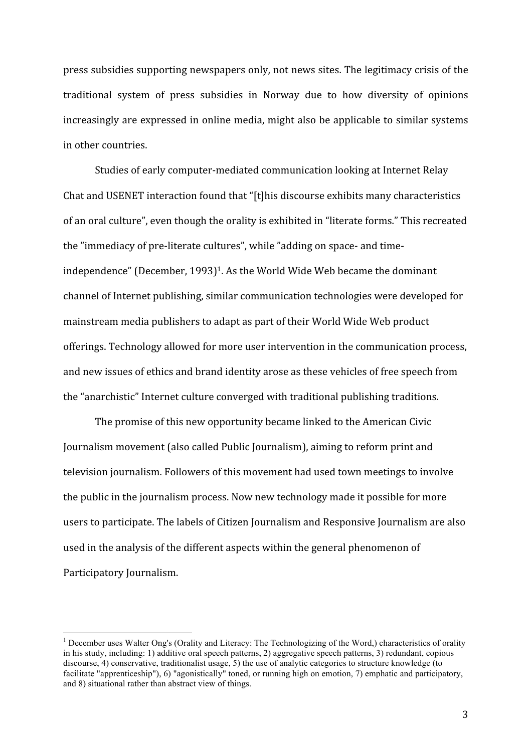press subsidies supporting newspapers only, not news sites. The legitimacy crisis of the traditional system of press subsidies in Norway due to how diversity of opinions increasingly are expressed in online media, might also be applicable to similar systems in other countries.

Studies of early computer‐mediated communication looking at Internet Relay Chat and USENET interaction found that "[t]his discourse exhibits many characteristics of an oral culture", even though the orality is exhibited in "literate forms." This recreated the "immediacy of pre‐literate cultures", while "adding on space‐ and time‐ independence" (December, 1993)<sup>1</sup>. As the World Wide Web became the dominant channel of Internet publishing, similar communication technologies were developed for mainstream media publishers to adapt as part of their World Wide Web product offerings. Technology allowed for more user intervention in the communication process, and new issues of ethics and brand identity arose as these vehicles of free speech from the "anarchistic" Internet culture converged with traditional publishing traditions.

The promise of this new opportunity became linked to the American Civic Journalism movement (also called Public Journalism), aiming to reform print and television journalism. Followers of this movement had used town meetings to involve the public in the journalism process. Now new technology made it possible for more users to participate. The labels of Citizen Journalism and Responsive Journalism are also used in the analysis of the different aspects within the general phenomenon of Participatory Journalism.

The Technologizing of the Word, Characteristics of orality<br><sup>1</sup> December uses Walter Ong's (Orality and Literacy: The Technologizing of the Word,) characteristics of orality in his study, including: 1) additive oral speech patterns, 2) aggregative speech patterns, 3) redundant, copious discourse, 4) conservative, traditionalist usage, 5) the use of analytic categories to structure knowledge (to facilitate "apprenticeship"), 6) "agonistically" toned, or running high on emotion, 7) emphatic and participatory, and 8) situational rather than abstract view of things.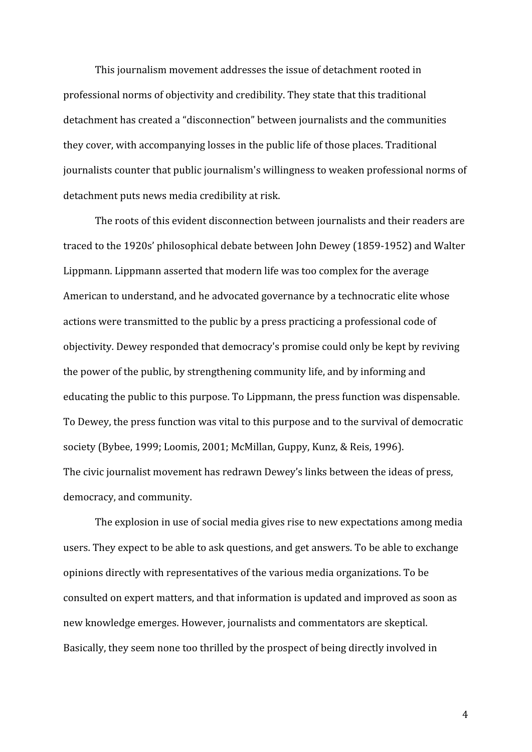This journalism movement addresses the issue of detachment rooted in professional norms of objectivity and credibility. They state that this traditional detachment has created a "disconnection" between journalists and the communities they cover, with accompanying losses in the public life of those places. Traditional journalists counter that public journalism's willingness to weaken professional norms of detachment puts news media credibility at risk.

The roots of this evident disconnection between journalists and their readers are traced to the 1920s' philosophical debate between John Dewey (1859‐1952) and Walter Lippmann. Lippmann asserted that modern life was too complex for the average American to understand, and he advocated governance by a technocratic elite whose actions were transmitted to the public by a press practicing a professional code of objectivity. Dewey responded that democracy's promise could only be kept by reviving the power of the public, by strengthening community life, and by informing and educating the public to this purpose. To Lippmann, the press function was dispensable. To Dewey, the press function was vital to this purpose and to the survival of democratic society (Bybee, 1999; Loomis, 2001; McMillan, Guppy, Kunz, & Reis, 1996). The civic journalist movement has redrawn Dewey's links between the ideas of press, democracy, and community.

The explosion in use of social media gives rise to new expectations among media users. They expect to be able to ask questions, and get answers. To be able to exchange opinions directly with representatives of the various media organizations. To be consulted on expert matters, and that information is updated and improved as soon as new knowledge emerges. However, journalists and commentators are skeptical. Basically, they seem none too thrilled by the prospect of being directly involved in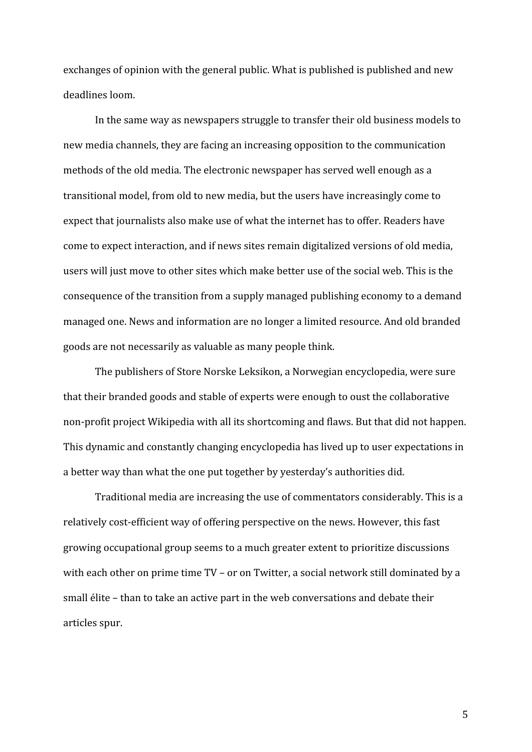exchanges of opinion with the general public. What is published is published and new deadlines loom.

In the same way as newspapers struggle to transfer their old business models to new media channels, they are facing an increasing opposition to the communication methods of the old media. The electronic newspaper has served well enough as a transitional model, from old to new media, but the users have increasingly come to expect that journalists also make use of what the internet has to offer. Readers have come to expect interaction, and if news sites remain digitalized versions of old media, users will just move to other sites which make better use of the social web. This is the consequence of the transition from a supply managed publishing economy to a demand managed one. News and information are no longer a limited resource. And old branded goods are not necessarily as valuable as many people think.

The publishers of Store Norske Leksikon, a Norwegian encyclopedia, were sure that their branded goods and stable of experts were enough to oust the collaborative non‐profit project Wikipedia with all its shortcoming and flaws. But that did not happen. This dynamic and constantly changing encyclopedia has lived up to user expectations in a better way than what the one put together by yesterday's authorities did.

Traditional media are increasing the use of commentators considerably. This is a relatively cost-efficient way of offering perspective on the news. However, this fast growing occupational group seems to a much greater extent to prioritize discussions with each other on prime time TV – or on Twitter, a social network still dominated by a small élite – than to take an active part in the web conversations and debate their articles spur.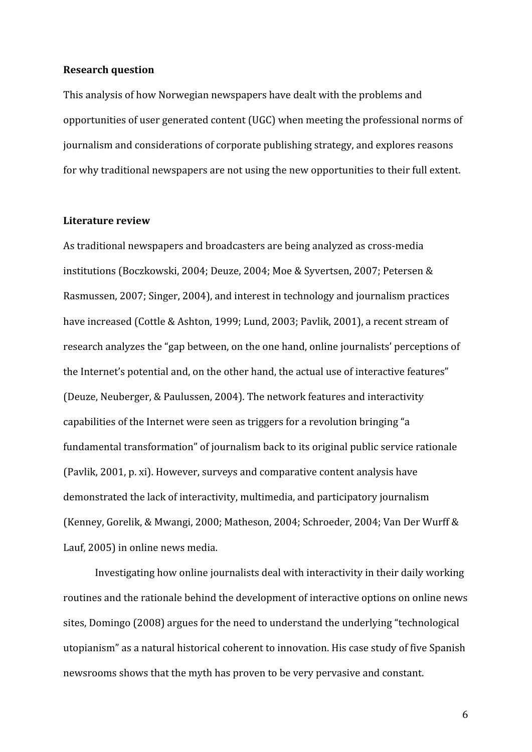#### **Research question**

This analysis of how Norwegian newspapers have dealt with the problems and opportunities of user generated content (UGC) when meeting the professional norms of journalism and considerations of corporate publishing strategy, and explores reasons for why traditional newspapers are not using the new opportunities to their full extent.

#### **Literature review**

As traditional newspapers and broadcasters are being analyzed as cross‐media institutions (Boczkowski, 2004; Deuze, 2004; Moe & Syvertsen, 2007; Petersen & Rasmussen, 2007; Singer, 2004), and interest in technology and journalism practices have increased (Cottle & Ashton, 1999; Lund, 2003; Pavlik, 2001), a recent stream of research analyzes the "gap between, on the one hand, online journalists' perceptions of the Internet's potential and, on the other hand, the actual use of interactive features" (Deuze, Neuberger, & Paulussen, 2004). The network features and interactivity capabilities of the Internet were seen as triggers for a revolution bringing "a fundamental transformation" of journalism back to its original public service rationale (Pavlik, 2001, p. xi). However, surveys and comparative content analysis have demonstrated the lack of interactivity, multimedia, and participatory journalism (Kenney, Gorelik, & Mwangi, 2000; Matheson, 2004; Schroeder, 2004; Van Der Wurff & Lauf, 2005) in online news media.

Investigating how online journalists deal with interactivity in their daily working routines and the rationale behind the development of interactive options on online news sites, Domingo (2008) argues for the need to understand the underlying "technological utopianism" as a natural historical coherent to innovation. His case study of five Spanish newsrooms shows that the myth has proven to be very pervasive and constant.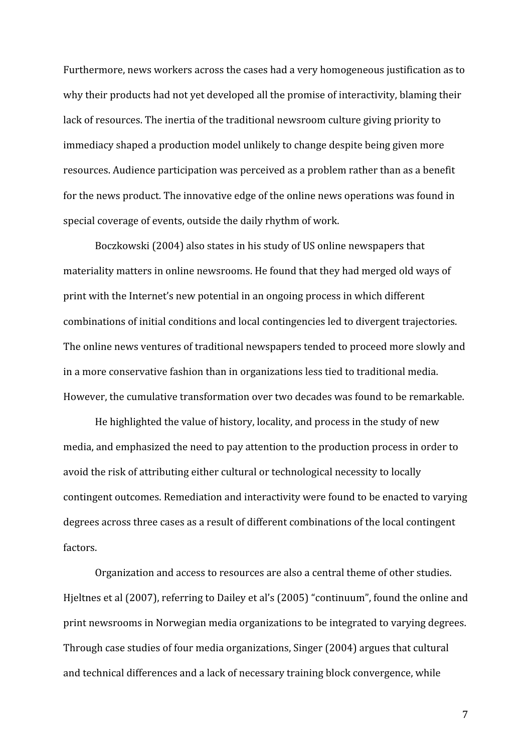Furthermore, news workers across the cases had a very homogeneous justification as to why their products had not yet developed all the promise of interactivity, blaming their lack of resources. The inertia of the traditional newsroom culture giving priority to immediacy shaped a production model unlikely to change despite being given more resources. Audience participation was perceived as a problem rather than as a benefit for the news product. The innovative edge of the online news operations was found in special coverage of events, outside the daily rhythm of work.

Boczkowski (2004) also states in his study of US online newspapers that materiality matters in online newsrooms. He found that they had merged old ways of print with the Internet's new potential in an ongoing process in which different combinations of initial conditions and local contingencies led to divergent trajectories. The online news ventures of traditional newspapers tended to proceed more slowly and in a more conservative fashion than in organizations less tied to traditional media. However, the cumulative transformation over two decades was found to be remarkable.

He highlighted the value of history, locality, and process in the study of new media, and emphasized the need to pay attention to the production process in order to avoid the risk of attributing either cultural or technological necessity to locally contingent outcomes. Remediation and interactivity were found to be enacted to varying degrees across three cases as a result of different combinations of the local contingent factors.

Organization and access to resources are also a central theme of other studies. Hjeltnes et al (2007), referring to Dailey et al's (2005) "continuum", found the online and print newsrooms in Norwegian media organizations to be integrated to varying degrees. Through case studies of four media organizations, Singer (2004) argues that cultural and technical differences and a lack of necessary training block convergence, while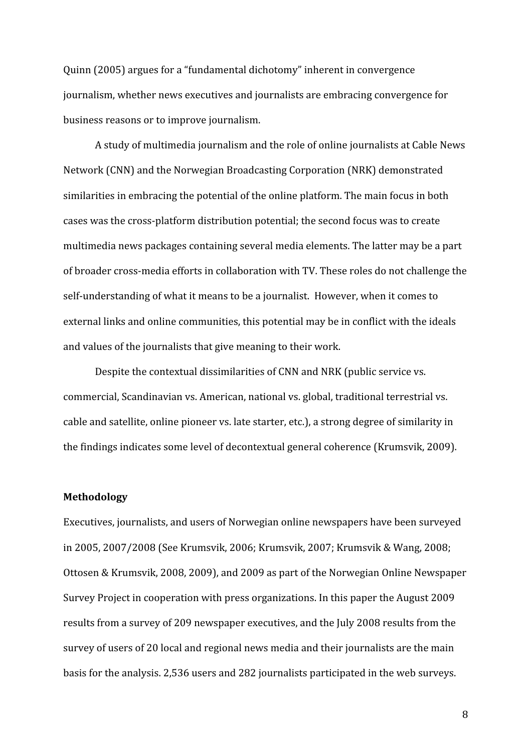Quinn (2005) argues for a "fundamental dichotomy" inherent in convergence journalism, whether news executives and journalists are embracing convergence for business reasons or to improve journalism.

A study of multimedia journalism and the role of online journalists at Cable News Network (CNN) and the Norwegian Broadcasting Corporation (NRK) demonstrated similarities in embracing the potential of the online platform. The main focus in both cases was the cross‐platform distribution potential; the second focus was to create multimedia news packages containing several media elements. The latter may be a part of broader cross‐media efforts in collaboration with TV. These roles do not challenge the self-understanding of what it means to be a journalist. However, when it comes to external links and online communities, this potential may be in conflict with the ideals and values of the journalists that give meaning to their work.

Despite the contextual dissimilarities of CNN and NRK (public service vs. commercial, Scandinavian vs. American, national vs. global, traditional terrestrial vs. cable and satellite, online pioneer vs. late starter, etc.), a strong degree of similarity in the findings indicates some level of decontextual general coherence (Krumsvik, 2009).

#### **Methodology**

Executives, journalists, and users of Norwegian online newspapers have been surveyed in 2005, 2007/2008 (See Krumsvik, 2006; Krumsvik, 2007; Krumsvik & Wang, 2008; Ottosen & Krumsvik, 2008, 2009), and 2009 as part of the Norwegian Online Newspaper Survey Project in cooperation with press organizations. In this paper the August 2009 results from a survey of 209 newspaper executives, and the July 2008 results from the survey of users of 20 local and regional news media and their journalists are the main basis for the analysis. 2,536 users and 282 journalists participated in the web surveys.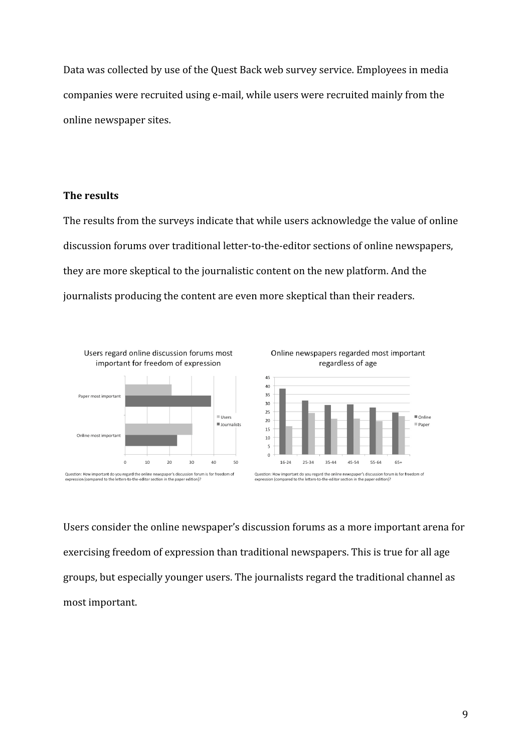Data was collected by use of the Quest Back web survey service. Employees in media companies were recruited using e‐mail, while users were recruited mainly from the online newspaper sites.

# **The results**

The results from the surveys indicate that while users acknowledge the value of online discussion forums over traditional letter‐to‐the‐editor sections of online newspapers, they are more skeptical to the journalistic content on the new platform. And the journalists producing the content are even more skeptical than their readers.





Users consider the online newspaper's discussion forums as a more important arena for exercising freedom of expression than traditional newspapers. This is true for all age groups, but especially younger users. The journalists regard the traditional channel as most important.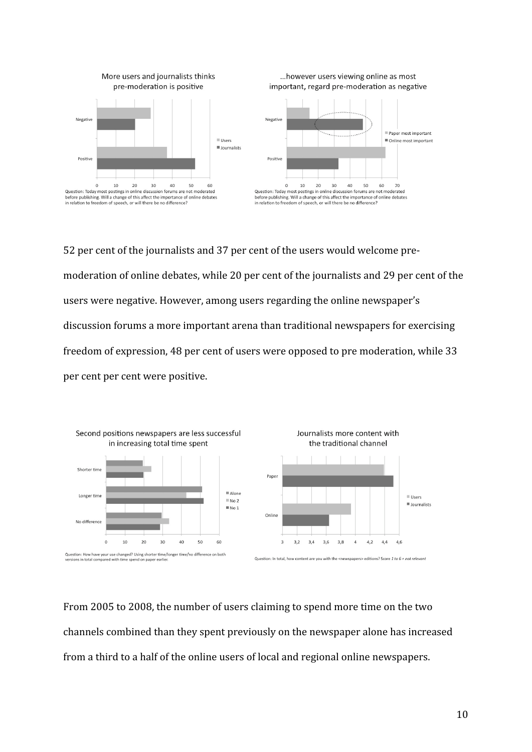



... however users viewing online as most

52 per cent of the journalists and 37 per cent of the users would welcome pre‐ moderation of online debates, while 20 per cent of the journalists and 29 per cent of the users were negative. However, among users regarding the online newspaper's discussion forums a more important arena than traditional newspapers for exercising freedom of expression, 48 per cent of users were opposed to pre moderation, while 33 per cent per cent were positive.



From 2005 to 2008, the number of users claiming to spend more time on the two channels combined than they spent previously on the newspaper alone has increased from a third to a half of the online users of local and regional online newspapers.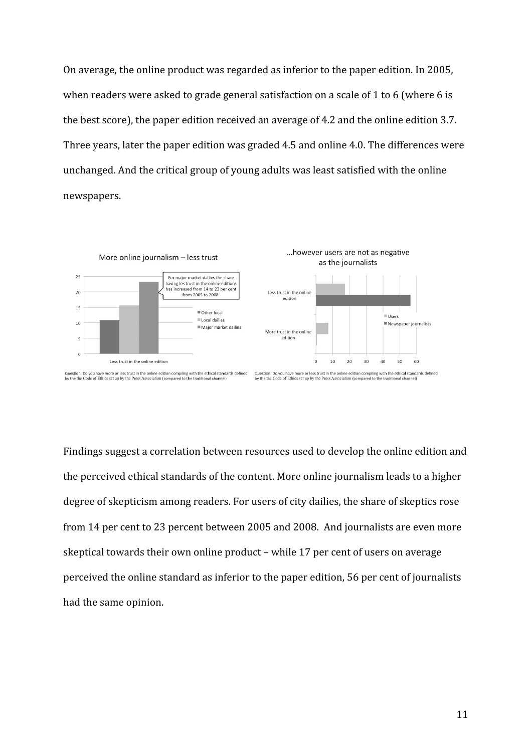On average, the online product was regarded as inferior to the paper edition. In 2005, when readers were asked to grade general satisfaction on a scale of 1 to 6 (where 6 is the best score), the paper edition received an average of 4.2 and the online edition 3.7. Three years, later the paper edition was graded 4.5 and online 4.0. The differences were unchanged. And the critical group of young adults was least satisfied with the online newspapers.



Findings suggest a correlation between resources used to develop the online edition and the perceived ethical standards of the content. More online journalism leads to a higher degree of skepticism among readers. For users of city dailies, the share of skeptics rose from 14 per cent to 23 percent between 2005 and 2008. And journalists are even more skeptical towards their own online product – while 17 per cent of users on average perceived the online standard as inferior to the paper edition, 56 per cent of journalists had the same opinion.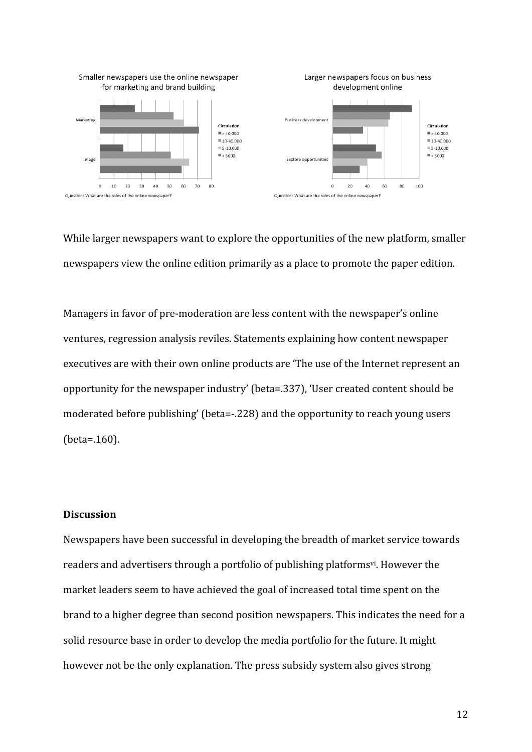

While larger newspapers want to explore the opportunities of the new platform, smaller newspapers view the online edition primarily as a place to promote the paper edition.

Managers in favor of pre‐moderation are less content with the newspaper's online ventures, regression analysis reviles. Statements explaining how content newspaper executives are with their own online products are 'The use of the Internet represent an opportunity for the newspaper industry' (beta=.337), 'User created content should be moderated before publishing' (beta=‐.228) and the opportunity to reach young users (beta=.160).

# **Discussion**

Newspapers have been successful in developing the breadth of market service towards readers and advertisers through a portfolio of publishing platforms<sup>vi</sup>. However the market leaders seem to have achieved the goal of increased total time spent on the brand to a higher degree than second position newspapers. This indicates the need for a solid resource base in order to develop the media portfolio for the future. It might however not be the only explanation. The press subsidy system also gives strong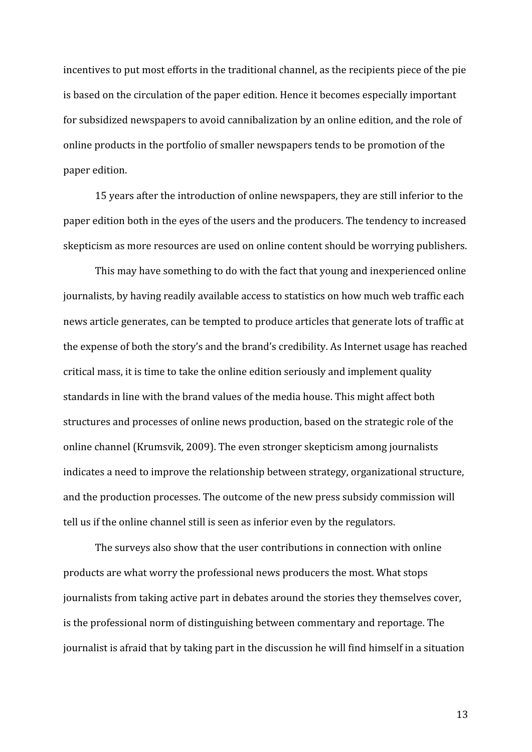incentives to put most efforts in the traditional channel, as the recipients piece of the pie is based on the circulation of the paper edition. Hence it becomes especially important for subsidized newspapers to avoid cannibalization by an online edition, and the role of online products in the portfolio of smaller newspapers tends to be promotion of the paper edition.

15 years after the introduction of online newspapers, they are still inferior to the paper edition both in the eyes of the users and the producers. The tendency to increased skepticism as more resources are used on online content should be worrying publishers.

This may have something to do with the fact that young and inexperienced online journalists, by having readily available access to statistics on how much web traffic each news article generates, can be tempted to produce articles that generate lots of traffic at the expense of both the story's and the brand's credibility. As Internet usage has reached critical mass, it is time to take the online edition seriously and implement quality standards in line with the brand values of the media house. This might affect both structures and processes of online news production, based on the strategic role of the online channel (Krumsvik, 2009). The even stronger skepticism among journalists indicates a need to improve the relationship between strategy, organizational structure, and the production processes. The outcome of the new press subsidy commission will tell us if the online channel still is seen as inferior even by the regulators.

The surveys also show that the user contributions in connection with online products are what worry the professional news producers the most. What stops journalists from taking active part in debates around the stories they themselves cover, is the professional norm of distinguishing between commentary and reportage. The journalist is afraid that by taking part in the discussion he will find himself in a situation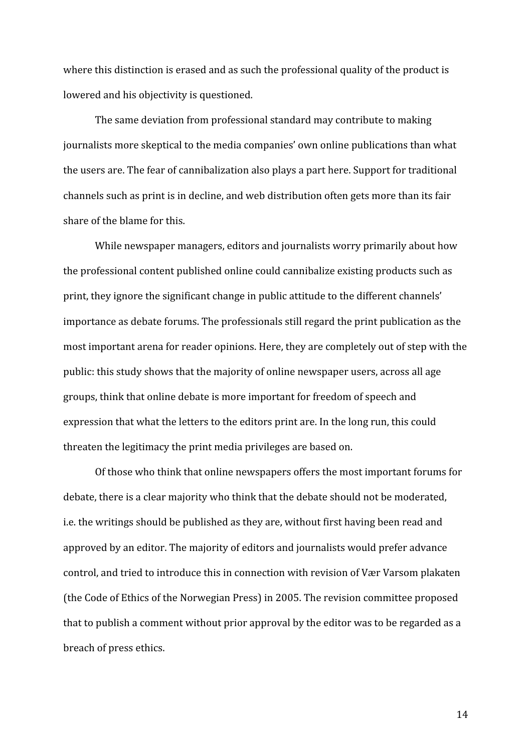where this distinction is erased and as such the professional quality of the product is lowered and his objectivity is questioned.

The same deviation from professional standard may contribute to making journalists more skeptical to the media companies' own online publications than what the users are. The fear of cannibalization also plays a part here. Support for traditional channels such as print is in decline, and web distribution often gets more than its fair share of the blame for this.

While newspaper managers, editors and journalists worry primarily about how the professional content published online could cannibalize existing products such as print, they ignore the significant change in public attitude to the different channels' importance as debate forums. The professionals still regard the print publication as the most important arena for reader opinions. Here, they are completely out of step with the public: this study shows that the majority of online newspaper users, across all age groups, think that online debate is more important for freedom of speech and expression that what the letters to the editors print are. In the long run, this could threaten the legitimacy the print media privileges are based on.

Of those who think that online newspapers offers the most important forums for debate, there is a clear majority who think that the debate should not be moderated, i.e. the writings should be published as they are, without first having been read and approved by an editor. The majority of editors and journalists would prefer advance control, and tried to introduce this in connection with revision of Vær Varsom plakaten (the Code of Ethics of the Norwegian Press) in 2005. The revision committee proposed that to publish a comment without prior approval by the editor was to be regarded as a breach of press ethics.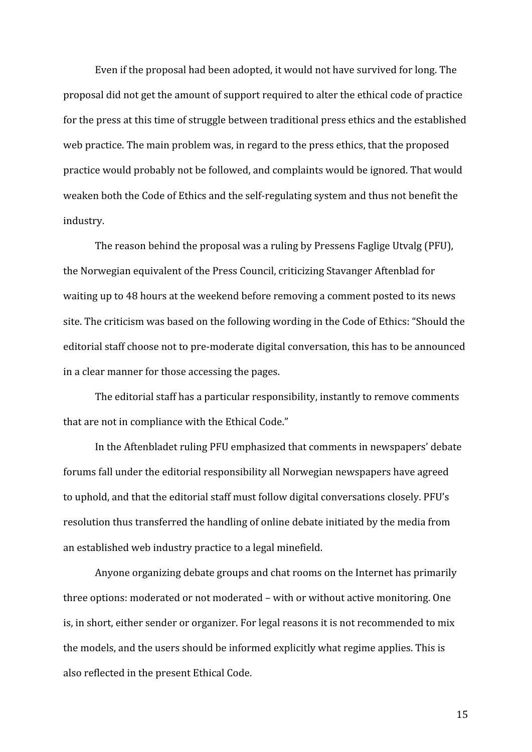Even if the proposal had been adopted, it would not have survived for long. The proposal did not get the amount of support required to alter the ethical code of practice for the press at this time of struggle between traditional press ethics and the established web practice. The main problem was, in regard to the press ethics, that the proposed practice would probably not be followed, and complaints would be ignored. That would weaken both the Code of Ethics and the self‐regulating system and thus not benefit the industry.

The reason behind the proposal was a ruling by Pressens Faglige Utvalg (PFU), the Norwegian equivalent of the Press Council, criticizing Stavanger Aftenblad for waiting up to 48 hours at the weekend before removing a comment posted to its news site. The criticism was based on the following wording in the Code of Ethics: "Should the editorial staff choose not to pre‐moderate digital conversation, this has to be announced in a clear manner for those accessing the pages.

The editorial staff has a particular responsibility, instantly to remove comments that are not in compliance with the Ethical Code."

In the Aftenbladet ruling PFU emphasized that comments in newspapers' debate forums fall under the editorial responsibility all Norwegian newspapers have agreed to uphold, and that the editorial staff must follow digital conversations closely. PFU's resolution thus transferred the handling of online debate initiated by the media from an established web industry practice to a legal minefield.

Anyone organizing debate groups and chat rooms on the Internet has primarily three options: moderated or not moderated – with or without active monitoring. One is, in short, either sender or organizer. For legal reasons it is not recommended to mix the models, and the users should be informed explicitly what regime applies. This is also reflected in the present Ethical Code.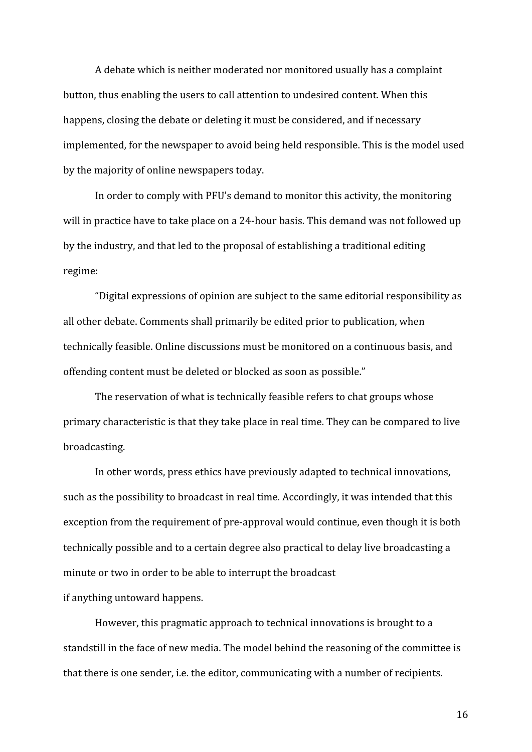A debate which is neither moderated nor monitored usually has a complaint button, thus enabling the users to call attention to undesired content. When this happens, closing the debate or deleting it must be considered, and if necessary implemented, for the newspaper to avoid being held responsible. This is the model used by the majority of online newspapers today.

In order to comply with PFU's demand to monitor this activity, the monitoring will in practice have to take place on a 24‐hour basis. This demand was not followed up by the industry, and that led to the proposal of establishing a traditional editing regime:

"Digital expressions of opinion are subject to the same editorial responsibility as all other debate. Comments shall primarily be edited prior to publication, when technically feasible. Online discussions must be monitored on a continuous basis, and offending content must be deleted or blocked as soon as possible."

The reservation of what is technically feasible refers to chat groups whose primary characteristic is that they take place in real time. They can be compared to live broadcasting.

In other words, press ethics have previously adapted to technical innovations, such as the possibility to broadcast in real time. Accordingly, it was intended that this exception from the requirement of pre‐approval would continue, even though it is both technically possible and to a certain degree also practical to delay live broadcasting a minute or two in order to be able to interrupt the broadcast if anything untoward happens.

However, this pragmatic approach to technical innovations is brought to a standstill in the face of new media. The model behind the reasoning of the committee is that there is one sender, i.e. the editor, communicating with a number of recipients.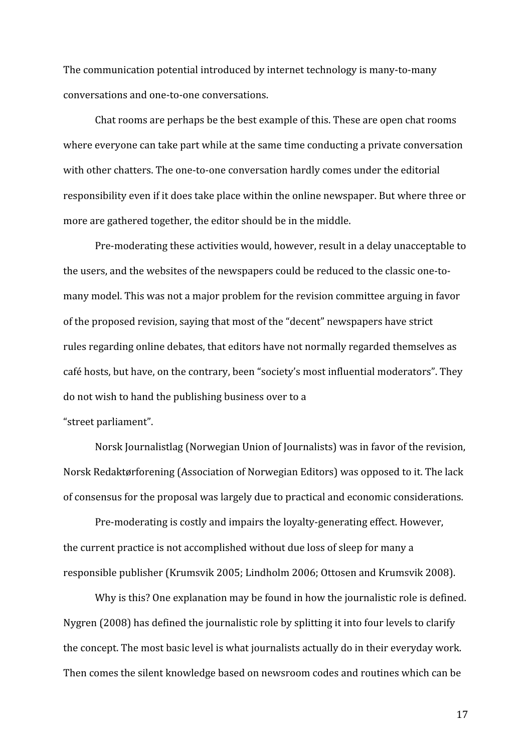The communication potential introduced by internet technology is many‐to‐many conversations and one‐to‐one conversations.

Chat rooms are perhaps be the best example of this. These are open chat rooms where everyone can take part while at the same time conducting a private conversation with other chatters. The one-to-one conversation hardly comes under the editorial responsibility even if it does take place within the online newspaper. But where three or more are gathered together, the editor should be in the middle.

Pre‐moderating these activities would, however, result in a delay unacceptable to the users, and the websites of the newspapers could be reduced to the classic one-tomany model. This was not a major problem for the revision committee arguing in favor of the proposed revision, saying that most of the "decent" newspapers have strict rules regarding online debates, that editors have not normally regarded themselves as café hosts, but have, on the contrary, been "society's most influential moderators". They do not wish to hand the publishing business over to a

"street parliament".

Norsk Journalistlag (Norwegian Union of Journalists) was in favor of the revision, Norsk Redaktørforening (Association of Norwegian Editors) was opposed to it. The lack of consensus for the proposal was largely due to practical and economic considerations.

Pre‐moderating is costly and impairs the loyalty‐generating effect. However, the current practice is not accomplished without due loss of sleep for many a responsible publisher (Krumsvik 2005; Lindholm 2006; Ottosen and Krumsvik 2008).

Why is this? One explanation may be found in how the journalistic role is defined. Nygren (2008) has defined the journalistic role by splitting it into four levels to clarify the concept. The most basic level is what journalists actually do in their everyday work. Then comes the silent knowledge based on newsroom codes and routines which can be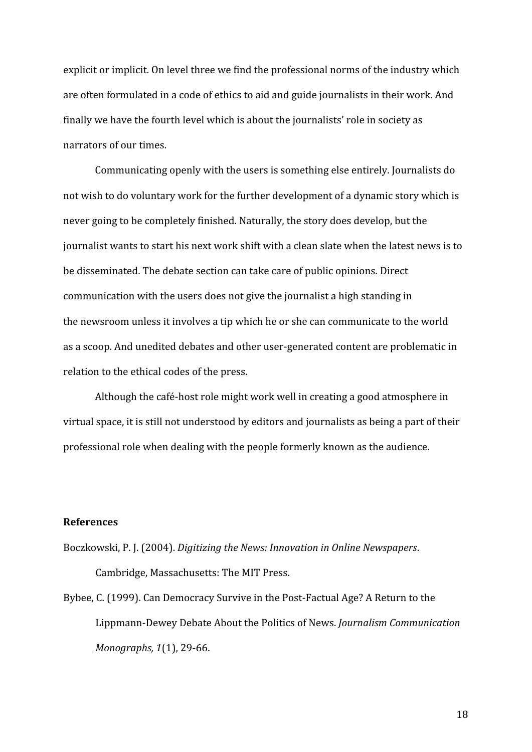explicit or implicit. On level three we find the professional norms of the industry which are often formulated in a code of ethics to aid and guide journalists in their work. And finally we have the fourth level which is about the journalists' role in society as narrators of our times.

Communicating openly with the users is something else entirely. Journalists do not wish to do voluntary work for the further development of a dynamic story which is never going to be completely finished. Naturally, the story does develop, but the journalist wants to start his next work shift with a clean slate when the latest news is to be disseminated. The debate section can take care of public opinions. Direct communication with the users does not give the journalist a high standing in the newsroom unless it involves a tip which he or she can communicate to the world as a scoop. And unedited debates and other user‐generated content are problematic in relation to the ethical codes of the press.

Although the café‐host role might work well in creating a good atmosphere in virtual space, it is still not understood by editors and journalists as being a part of their professional role when dealing with the people formerly known as the audience.

# **References**

Boczkowski, P. J. (2004). *Digitizing the News: Innovation in Online Newspapers*. Cambridge, Massachusetts: The MIT Press.

Bybee, C. (1999). Can Democracy Survive in the Post‐Factual Age? A Return to the Lippmann‐Dewey Debate About the Politics of News. *Journalism Communication Monographs, 1*(1), 29‐66.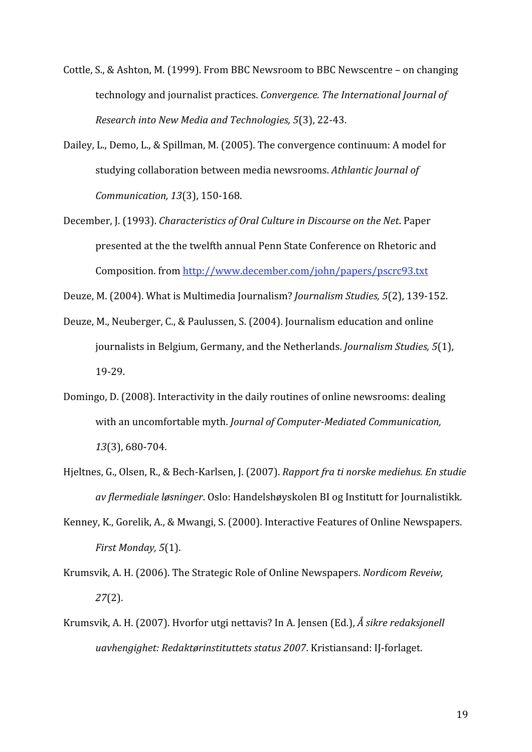- Cottle, S., & Ashton, M. (1999). From BBC Newsroom to BBC Newscentre on changing technology and journalist practices. *Convergence. The International Journal of Research into New Media and Technologies, 5*(3), 22‐43.
- Dailey, L., Demo, L., & Spillman, M. (2005). The convergence continuum: A model for studying collaboration between media newsrooms. *Athlantic Journal of Communication, 13*(3), 150‐168.
- December, J. (1993). *Characteristics of Oral Culture in Discourse on the Net*. Paper presented at the the twelfth annual Penn State Conference on Rhetoric and Composition. from http://www.december.com/john/papers/pscrc93.txt

Deuze, M. (2004). What is Multimedia Journalism? *Journalism Studies, 5*(2), 139‐152.

- Deuze, M., Neuberger, C., & Paulussen, S. (2004). Journalism education and online journalists in Belgium, Germany, and the Netherlands. *Journalism Studies, 5*(1), 19‐29.
- Domingo, D. (2008). Interactivity in the daily routines of online newsrooms: dealing with an uncomfortable myth. *Journal of Computer-Mediated Communication*, *13*(3), 680‐704.
- Hjeltnes, G., Olsen, R., & Bech‐Karlsen, J. (2007). *Rapport fra ti norske mediehus. En studie av flermediale løsninger*. Oslo: Handelshøyskolen BI og Institutt for Journalistikk.
- Kenney, K., Gorelik, A., & Mwangi, S. (2000). Interactive Features of Online Newspapers. *First Monday, 5*(1).
- Krumsvik, A. H. (2006). The Strategic Role of Online Newspapers. *Nordicom Reveiw, 27*(2).
- Krumsvik, A. H. (2007). Hvorfor utgi nettavis? In A. Jensen (Ed.), *Å sikre redaksjonell uavhengighet: Redaktørinstituttets status 2007*. Kristiansand: IJ‐forlaget.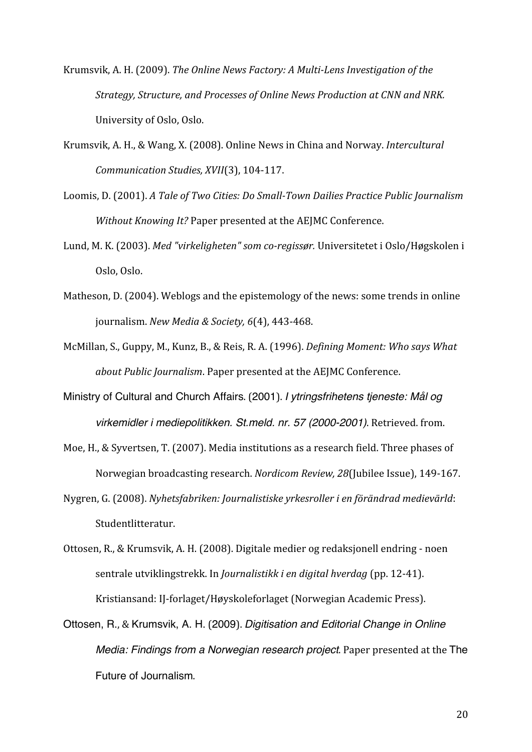- Krumsvik, A. H. (2009). *The Online News Factory: A Multi-Lens Investigation of the Strategy, Structure, and Processes of Online News Production at CNN and NRK.* University of Oslo, Oslo.
- Krumsvik, A. H., & Wang, X. (2008). Online News in China and Norway. *Intercultural Communication Studies, XVII*(3), 104‐117.
- Loomis, D. (2001). *A Tale of Two Cities: Do Small-Town Dailies Practice Public Journalism Without Knowing It?* Paper presented at the AEJMC Conference.
- Lund, M. K. (2003). *Med "virkeligheten" som co-regissør.* Universitetet i Oslo/Høgskolen i Oslo, Oslo.
- Matheson, D. (2004). Weblogs and the epistemology of the news: some trends in online journalism. *New Media & Society, 6*(4), 443‐468.
- McMillan, S., Guppy, M., Kunz, B., & Reis, R. A. (1996). *Defining Moment: Who says What about Public Journalism*. Paper presented at the AEJMC Conference.
- Ministry of Cultural and Church Affairs. (2001). *I ytringsfrihetens tjeneste: Mål og virkemidler i mediepolitikken. St.meld. nr. 57 (2000-2001)*. Retrieved. from.
- Moe, H., & Syvertsen, T. (2007). Media institutions as a research field. Three phases of Norwegian broadcasting research. *Nordicom Review, 28*(Jubilee Issue), 149‐167.
- Nygren, G. (2008). *Nyhetsfabriken: Journalistiske yrkesroller i en förändrad medievärld*: Studentlitteratur.
- Ottosen, R., & Krumsvik, A. H. (2008). Digitale medier og redaksjonell endring ‐ noen sentrale utviklingstrekk. In *Journalistikk i en digital hverdag* (pp. 12‐41). Kristiansand: IJ‐forlaget/Høyskoleforlaget (Norwegian Academic Press).
- Ottosen, R., & Krumsvik, A. H. (2009). *Digitisation and Editorial Change in Online Media: Findings from a Norwegian research project*. Paper presented at the The Future of Journalism.